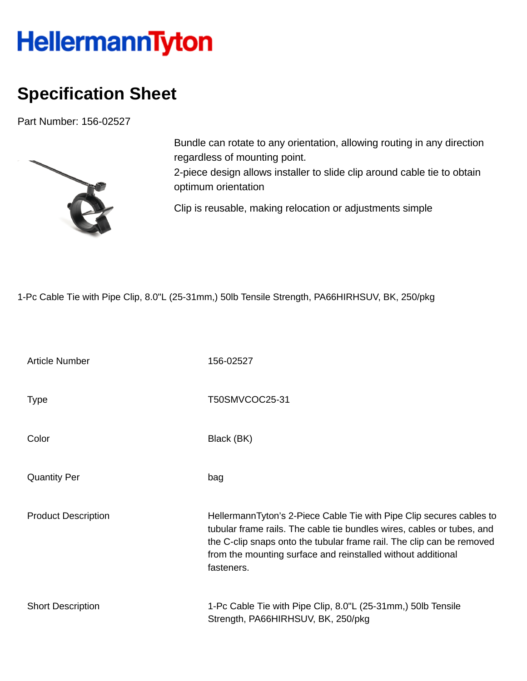## HellermannTyton

## **Specification Sheet**

Part Number: 156-02527



Bundle can rotate to any orientation, allowing routing in any direction regardless of mounting point. 2-piece design allows installer to slide clip around cable tie to obtain optimum orientation

Clip is reusable, making relocation or adjustments simple

1-Pc Cable Tie with Pipe Clip, 8.0"L (25-31mm,) 50lb Tensile Strength, PA66HIRHSUV, BK, 250/pkg

| <b>Article Number</b>      | 156-02527                                                                                                                                                                                                                                                                                             |
|----------------------------|-------------------------------------------------------------------------------------------------------------------------------------------------------------------------------------------------------------------------------------------------------------------------------------------------------|
| <b>Type</b>                | T50SMVCOC25-31                                                                                                                                                                                                                                                                                        |
| Color                      | Black (BK)                                                                                                                                                                                                                                                                                            |
| <b>Quantity Per</b>        | bag                                                                                                                                                                                                                                                                                                   |
| <b>Product Description</b> | HellermannTyton's 2-Piece Cable Tie with Pipe Clip secures cables to<br>tubular frame rails. The cable tie bundles wires, cables or tubes, and<br>the C-clip snaps onto the tubular frame rail. The clip can be removed<br>from the mounting surface and reinstalled without additional<br>fasteners. |
| <b>Short Description</b>   | 1-Pc Cable Tie with Pipe Clip, 8.0"L (25-31mm,) 50lb Tensile<br>Strength, PA66HIRHSUV, BK, 250/pkg                                                                                                                                                                                                    |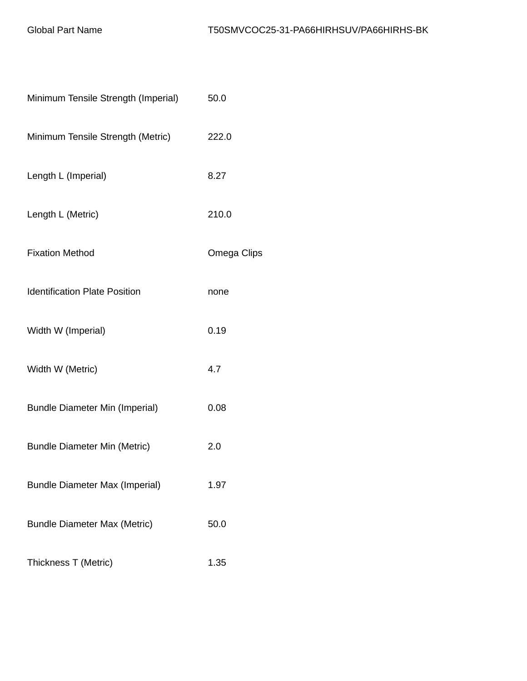| Minimum Tensile Strength (Imperial)   | 50.0        |
|---------------------------------------|-------------|
| Minimum Tensile Strength (Metric)     | 222.0       |
| Length L (Imperial)                   | 8.27        |
| Length L (Metric)                     | 210.0       |
| <b>Fixation Method</b>                | Omega Clips |
| <b>Identification Plate Position</b>  | none        |
| Width W (Imperial)                    | 0.19        |
| Width W (Metric)                      | 4.7         |
| <b>Bundle Diameter Min (Imperial)</b> | 0.08        |
| <b>Bundle Diameter Min (Metric)</b>   | 2.0         |
| <b>Bundle Diameter Max (Imperial)</b> | 1.97        |
| <b>Bundle Diameter Max (Metric)</b>   | 50.0        |
| Thickness T (Metric)                  | 1.35        |